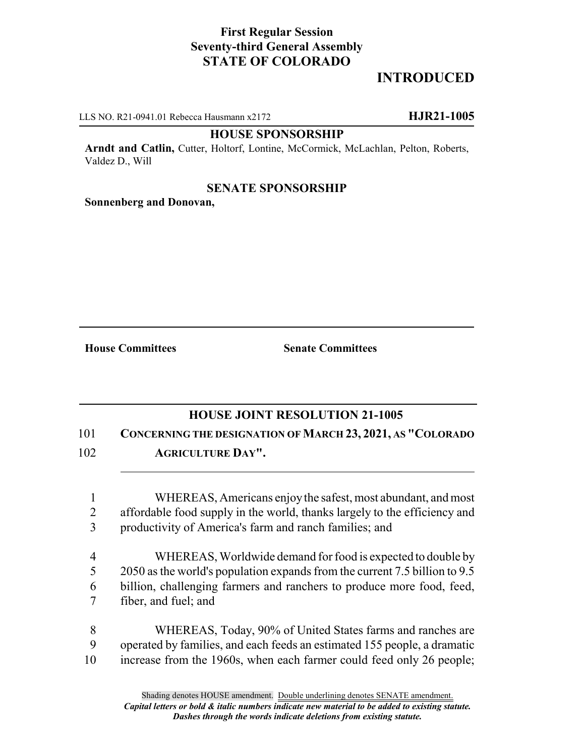## **First Regular Session Seventy-third General Assembly STATE OF COLORADO**

# **INTRODUCED**

LLS NO. R21-0941.01 Rebecca Hausmann x2172 **HJR21-1005**

#### **HOUSE SPONSORSHIP**

**Arndt and Catlin,** Cutter, Holtorf, Lontine, McCormick, McLachlan, Pelton, Roberts, Valdez D., Will

### **SENATE SPONSORSHIP**

**Sonnenberg and Donovan,**

**House Committees Senate Committees**

### **HOUSE JOINT RESOLUTION 21-1005**

101 **CONCERNING THE DESIGNATION OF MARCH 23, 2021, AS "COLORADO**

102 **AGRICULTURE DAY".**

1 WHEREAS, Americans enjoy the safest, most abundant, and most 2 affordable food supply in the world, thanks largely to the efficiency and 3 productivity of America's farm and ranch families; and

 WHEREAS, Worldwide demand for food is expected to double by 2050 as the world's population expands from the current 7.5 billion to 9.5 billion, challenging farmers and ranchers to produce more food, feed, fiber, and fuel; and

8 WHEREAS, Today, 90% of United States farms and ranches are 9 operated by families, and each feeds an estimated 155 people, a dramatic 10 increase from the 1960s, when each farmer could feed only 26 people;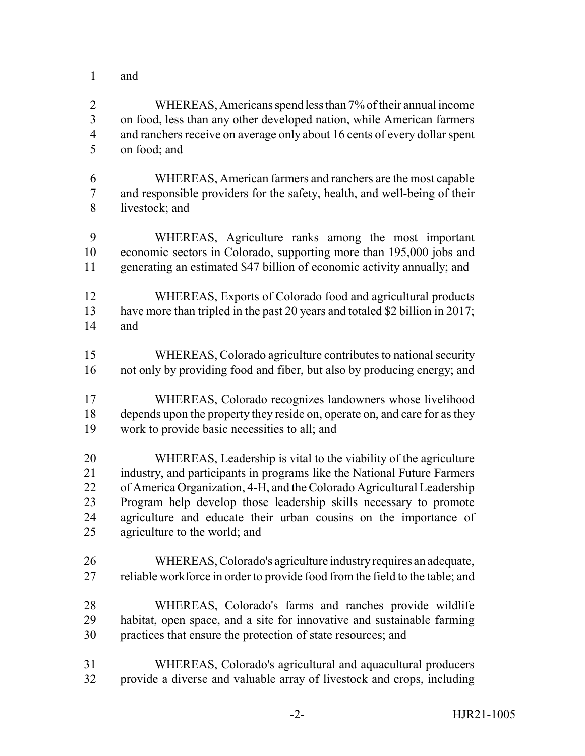and

 WHEREAS, Americans spend less than 7% of their annual income on food, less than any other developed nation, while American farmers 4 and ranchers receive on average only about 16 cents of every dollar spent on food; and

 WHEREAS, American farmers and ranchers are the most capable and responsible providers for the safety, health, and well-being of their livestock; and

 WHEREAS, Agriculture ranks among the most important economic sectors in Colorado, supporting more than 195,000 jobs and generating an estimated \$47 billion of economic activity annually; and

- WHEREAS, Exports of Colorado food and agricultural products have more than tripled in the past 20 years and totaled \$2 billion in 2017; and
- WHEREAS, Colorado agriculture contributes to national security not only by providing food and fiber, but also by producing energy; and
- WHEREAS, Colorado recognizes landowners whose livelihood depends upon the property they reside on, operate on, and care for as they work to provide basic necessities to all; and

 WHEREAS, Leadership is vital to the viability of the agriculture industry, and participants in programs like the National Future Farmers of America Organization, 4-H, and the Colorado Agricultural Leadership Program help develop those leadership skills necessary to promote agriculture and educate their urban cousins on the importance of agriculture to the world; and

- WHEREAS, Colorado's agriculture industry requires an adequate, 27 reliable workforce in order to provide food from the field to the table; and
- WHEREAS, Colorado's farms and ranches provide wildlife habitat, open space, and a site for innovative and sustainable farming practices that ensure the protection of state resources; and
- WHEREAS, Colorado's agricultural and aquacultural producers provide a diverse and valuable array of livestock and crops, including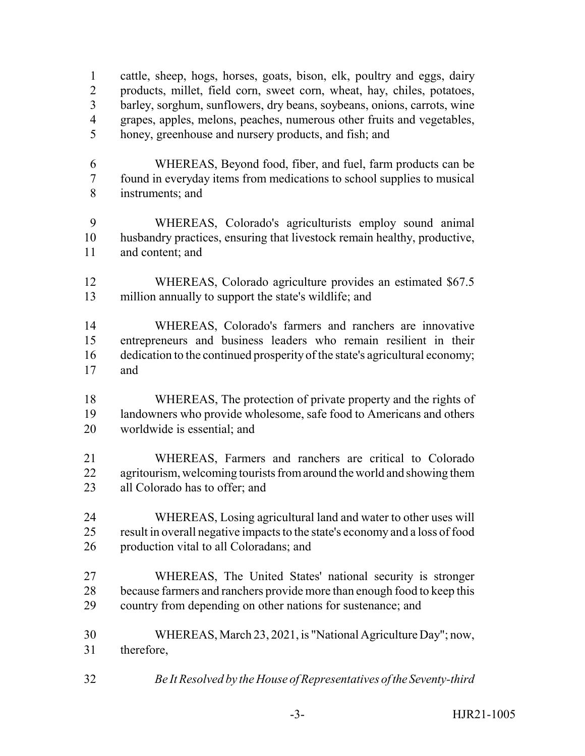cattle, sheep, hogs, horses, goats, bison, elk, poultry and eggs, dairy products, millet, field corn, sweet corn, wheat, hay, chiles, potatoes, barley, sorghum, sunflowers, dry beans, soybeans, onions, carrots, wine grapes, apples, melons, peaches, numerous other fruits and vegetables, honey, greenhouse and nursery products, and fish; and

- WHEREAS, Beyond food, fiber, and fuel, farm products can be found in everyday items from medications to school supplies to musical instruments; and
- WHEREAS, Colorado's agriculturists employ sound animal husbandry practices, ensuring that livestock remain healthy, productive, and content; and
- WHEREAS, Colorado agriculture provides an estimated \$67.5 million annually to support the state's wildlife; and

 WHEREAS, Colorado's farmers and ranchers are innovative entrepreneurs and business leaders who remain resilient in their dedication to the continued prosperity of the state's agricultural economy; and

- WHEREAS, The protection of private property and the rights of landowners who provide wholesome, safe food to Americans and others worldwide is essential; and
- WHEREAS, Farmers and ranchers are critical to Colorado 22 agritourism, welcoming tourists from around the world and showing them all Colorado has to offer; and
- WHEREAS, Losing agricultural land and water to other uses will result in overall negative impacts to the state's economy and a loss of food production vital to all Coloradans; and
- WHEREAS, The United States' national security is stronger because farmers and ranchers provide more than enough food to keep this country from depending on other nations for sustenance; and
- WHEREAS, March 23, 2021, is "National Agriculture Day"; now, therefore,
- *Be It Resolved by the House of Representatives of the Seventy-third*